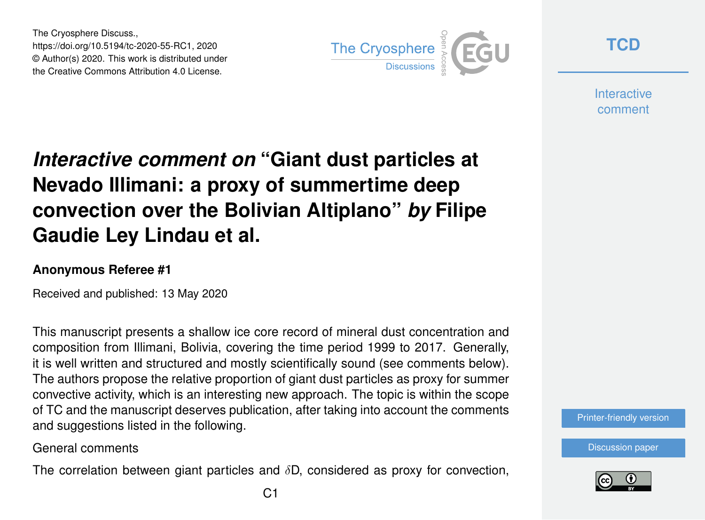The Cryosphere Discuss., https://doi.org/10.5194/tc-2020-55-RC1, 2020 © Author(s) 2020. This work is distributed under the Creative Commons Attribution 4.0 License.



**[TCD](https://www.the-cryosphere-discuss.net/)**

**Interactive** comment

## *Interactive comment on* **"Giant dust particles at Nevado Illimani: a proxy of summertime deep convection over the Bolivian Altiplano"** *by* **Filipe Gaudie Ley Lindau et al.**

## **Anonymous Referee #1**

Received and published: 13 May 2020

This manuscript presents a shallow ice core record of mineral dust concentration and composition from Illimani, Bolivia, covering the time period 1999 to 2017. Generally, it is well written and structured and mostly scientifically sound (see comments below). The authors propose the relative proportion of giant dust particles as proxy for summer convective activity, which is an interesting new approach. The topic is within the scope of TC and the manuscript deserves publication, after taking into account the comments and suggestions listed in the following.

General comments

The correlation between giant particles and  $\delta D$ , considered as proxy for convection,



[Discussion paper](https://www.the-cryosphere-discuss.net/tc-2020-55)

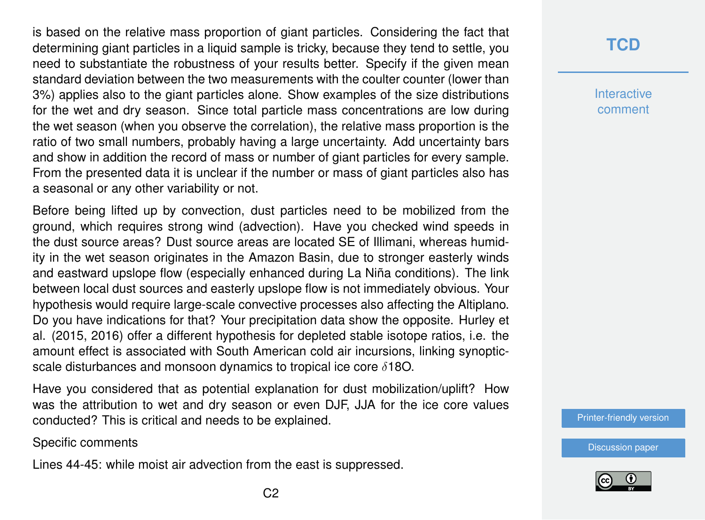is based on the relative mass proportion of giant particles. Considering the fact that determining giant particles in a liquid sample is tricky, because they tend to settle, you need to substantiate the robustness of your results better. Specify if the given mean standard deviation between the two measurements with the coulter counter (lower than 3%) applies also to the giant particles alone. Show examples of the size distributions for the wet and dry season. Since total particle mass concentrations are low during the wet season (when you observe the correlation), the relative mass proportion is the ratio of two small numbers, probably having a large uncertainty. Add uncertainty bars and show in addition the record of mass or number of giant particles for every sample. From the presented data it is unclear if the number or mass of giant particles also has a seasonal or any other variability or not.

Before being lifted up by convection, dust particles need to be mobilized from the ground, which requires strong wind (advection). Have you checked wind speeds in the dust source areas? Dust source areas are located SE of Illimani, whereas humidity in the wet season originates in the Amazon Basin, due to stronger easterly winds and eastward upslope flow (especially enhanced during La Niña conditions). The link between local dust sources and easterly upslope flow is not immediately obvious. Your hypothesis would require large-scale convective processes also affecting the Altiplano. Do you have indications for that? Your precipitation data show the opposite. Hurley et al. (2015, 2016) offer a different hypothesis for depleted stable isotope ratios, i.e. the amount effect is associated with South American cold air incursions, linking synopticscale disturbances and monsoon dynamics to tropical ice core  $\delta$ 180.

Have you considered that as potential explanation for dust mobilization/uplift? How was the attribution to wet and dry season or even DJF, JJA for the ice core values conducted? This is critical and needs to be explained.

Specific comments

Lines 44-45: while moist air advection from the east is suppressed.

**Interactive** comment

[Printer-friendly version](https://www.the-cryosphere-discuss.net/tc-2020-55/tc-2020-55-RC1-print.pdf)

[Discussion paper](https://www.the-cryosphere-discuss.net/tc-2020-55)